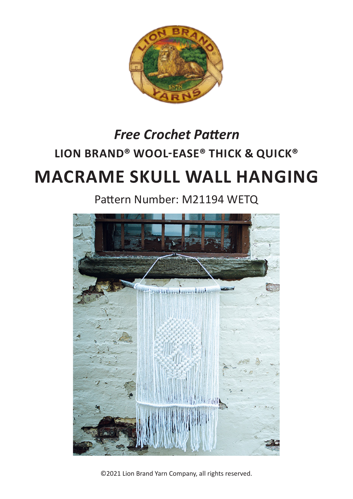

# **LION BRAND® WOOL-EASE® THICK & QUICK® MACRAME SKULL WALL HANGING** *Free Crochet Pattern*

Pattern Number: M21194 WETQ



©2021 Lion Brand Yarn Company, all rights reserved.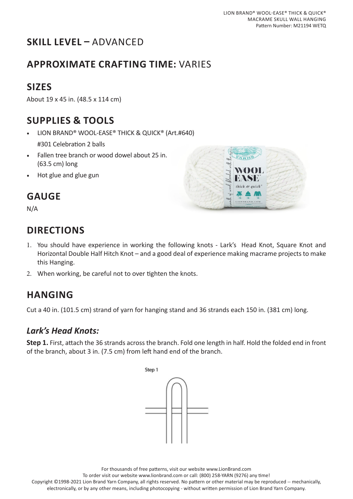# **SKILL LEVEL –** ADVANCED

### **APPROXIMATE CRAFTING TIME:** VARIES

### **SIZES**

About 19 x 45 in. (48.5 x 114 cm)

#### **SUPPLIES & TOOLS**

- LION BRAND® WOOL-EASE® THICK & QUICK® (Art.#640)
	- #301 Celebration 2 balls
- Fallen tree branch or wood dowel about 25 in. (63.5 cm) long
- Hot glue and glue gun

# quick

# **GAUGE**

N/A

# **DIRECTIONS**

- 1. You should have experience in working the following knots Lark's Head Knot, Square Knot and Horizontal Double Half Hitch Knot – and a good deal of experience making macrame projects to make this Hanging.
- 2. When working, be careful not to over tighten the knots.

# **HANGING**

Cut a 40 in. (101.5 cm) strand of yarn for hanging stand and 36 strands each 150 in. (381 cm) long.

#### *Lark's Head Knots:*

**Step 1.** First, attach the 36 strands across the branch. Fold one length in half. Hold the folded end in front of the branch, about 3 in. (7.5 cm) from left hand end of the branch.



For thousands of free patterns, visit our website www.LionBrand.com

To order visit our website www.lionbrand.com or call: (800) 258-YARN (9276) any time!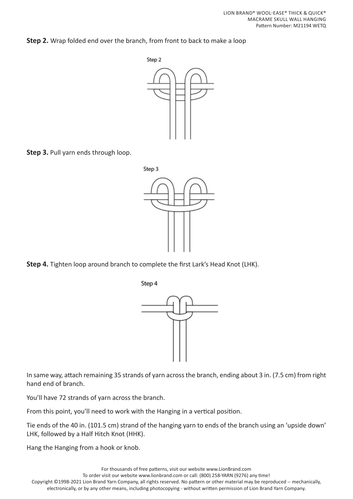**Step 2.** Wrap folded end over the branch, from front to back to make a loop



**Step 3.** Pull yarn ends through loop.



**Step 4.** Tighten loop around branch to complete the first Lark's Head Knot (LHK).



In same way, attach remaining 35 strands of yarn across the branch, ending about 3 in. (7.5 cm) from right hand end of branch.

You'll have 72 strands of yarn across the branch.

From this point, you'll need to work with the Hanging in a vertical position.

Tie ends of the 40 in. (101.5 cm) strand of the hanging yarn to ends of the branch using an 'upside down' LHK, followed by a Half Hitch Knot (HHK).

Hang the Hanging from a hook or knob.

For thousands of free patterns, visit our website www.LionBrand.com To order visit our website www.lionbrand.com or call: (800) 258-YARN (9276) any time! Copyright ©1998-2021 Lion Brand Yarn Company, all rights reserved. No pattern or other material may be reproduced -- mechanically, electronically, or by any other means, including photocopying - without written permission of Lion Brand Yarn Company.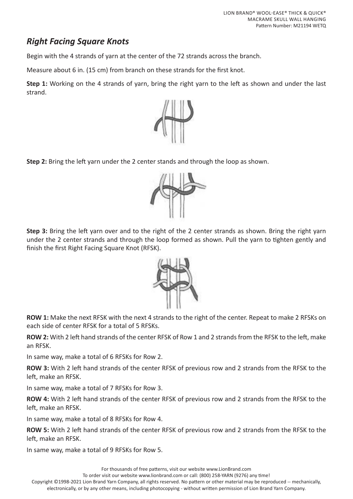#### *Right Facing Square Knots*

Begin with the 4 strands of yarn at the center of the 72 strands across the branch.

Measure about 6 in. (15 cm) from branch on these strands for the first knot.

**Step 1:** Working on the 4 strands of yarn, bring the right yarn to the left as shown and under the last strand.



**Step 2:** Bring the left yarn under the 2 center stands and through the loop as shown.



**Step 3:** Bring the left yarn over and to the right of the 2 center strands as shown. Bring the right yarn under the 2 center strands and through the loop formed as shown. Pull the yarn to tighten gently and finish the first Right Facing Square Knot (RFSK).



**ROW 1:** Make the next RFSK with the next 4 strands to the right of the center. Repeat to make 2 RFSKs on each side of center RFSK for a total of 5 RFSKs.

**ROW 2:** With 2 left hand strands of the center RFSK of Row 1 and 2 strands from the RFSK to the left, make an RFSK.

In same way, make a total of 6 RFSKs for Row 2.

**ROW 3:** With 2 left hand strands of the center RFSK of previous row and 2 strands from the RFSK to the left, make an RFSK.

In same way, make a total of 7 RFSKs for Row 3.

**ROW 4:** With 2 left hand strands of the center RFSK of previous row and 2 strands from the RFSK to the left, make an RFSK.

In same way, make a total of 8 RFSKs for Row 4.

**ROW 5:** With 2 left hand strands of the center RFSK of previous row and 2 strands from the RFSK to the left, make an RFSK.

In same way, make a total of 9 RFSKs for Row 5.

For thousands of free patterns, visit our website www.LionBrand.com

To order visit our website www.lionbrand.com or call: (800) 258-YARN (9276) any time!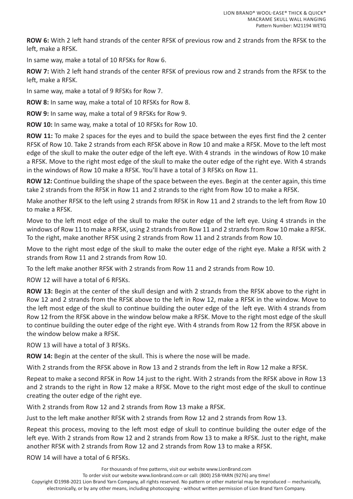**ROW 6:** With 2 left hand strands of the center RFSK of previous row and 2 strands from the RFSK to the left, make a RFSK.

In same way, make a total of 10 RFSKs for Row 6.

**ROW 7:** With 2 left hand strands of the center RFSK of previous row and 2 strands from the RFSK to the left, make a RFSK.

In same way, make a total of 9 RFSKs for Row 7.

**ROW 8:** In same way, make a total of 10 RFSKs for Row 8.

**ROW 9:** In same way, make a total of 9 RFSKs for Row 9.

**ROW 10:** In same way, make a total of 10 RFSKs for Row 10.

**ROW 11:** To make 2 spaces for the eyes and to build the space between the eyes first find the 2 center RFSK of Row 10. Take 2 strands from each RFSK above in Row 10 and make a RFSK. Move to the left most edge of the skull to make the outer edge of the left eye. With 4 strands in the windows of Row 10 make a RFSK. Move to the right most edge of the skull to make the outer edge of the right eye. With 4 strands in the windows of Row 10 make a RFSK. You'll have a total of 3 RFSKs on Row 11.

**ROW 12:** Continue building the shape of the space between the eyes. Begin at the center again, this time take 2 strands from the RFSK in Row 11 and 2 strands to the right from Row 10 to make a RFSK.

Make another RFSK to the left using 2 strands from RFSK in Row 11 and 2 strands to the left from Row 10 to make a RFSK.

Move to the left most edge of the skull to make the outer edge of the left eye. Using 4 strands in the windows of Row 11 to make a RFSK, using 2 strands from Row 11 and 2 strands from Row 10 make a RFSK. To the right, make another RFSK using 2 strands from Row 11 and 2 strands from Row 10.

Move to the right most edge of the skull to make the outer edge of the right eye. Make a RFSK with 2 strands from Row 11 and 2 strands from Row 10.

To the left make another RFSK with 2 strands from Row 11 and 2 strands from Row 10.

ROW 12 will have a total of 6 RFSKs.

**ROW 13:** Begin at the center of the skull design and with 2 strands from the RFSK above to the right in Row 12 and 2 strands from the RFSK above to the left in Row 12, make a RFSK in the window. Move to the left most edge of the skull to continue building the outer edge of the left eye. With 4 strands from Row 12 from the RFSK above in the window below make a RFSK. Move to the right most edge of the skull to continue building the outer edge of the right eye. With 4 strands from Row 12 from the RFSK above in the window below make a RFSK.

ROW 13 will have a total of 3 RFSKs.

**ROW 14:** Begin at the center of the skull. This is where the nose will be made.

With 2 strands from the RFSK above in Row 13 and 2 strands from the left in Row 12 make a RFSK.

Repeat to make a second RFSK in Row 14 just to the right. With 2 strands from the RFSK above in Row 13 and 2 strands to the right in Row 12 make a RFSK. Move to the right most edge of the skull to continue creating the outer edge of the right eye.

With 2 strands from Row 12 and 2 strands from Row 13 make a RFSK.

Just to the left make another RFSK with 2 strands from Row 12 and 2 strands from Row 13.

Repeat this process, moving to the left most edge of skull to continue building the outer edge of the left eye. With 2 strands from Row 12 and 2 strands from Row 13 to make a RFSK. Just to the right, make another RFSK with 2 strands from Row 12 and 2 strands from Row 13 to make a RFSK.

ROW 14 will have a total of 6 RFSKs.

For thousands of free patterns, visit our website www.LionBrand.com

To order visit our website www.lionbrand.com or call: (800) 258-YARN (9276) any time!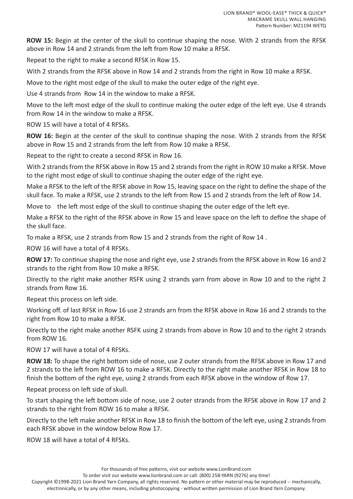**ROW 15:** Begin at the center of the skull to continue shaping the nose. With 2 strands from the RFSK above in Row 14 and 2 strands from the left from Row 10 make a RFSK.

Repeat to the right to make a second RFSK in Row 15.

With 2 strands from the RFSK above in Row 14 and 2 strands from the right in Row 10 make a RFSK.

Move to the right most edge of the skull to make the outer edge of the right eye.

Use 4 strands from Row 14 in the window to make a RFSK.

Move to the left most edge of the skull to continue making the outer edge of the left eye. Use 4 strands from Row 14 in the window to make a RFSK.

ROW 15 will have a total of 4 RFSKs.

**ROW 16:** Begin at the center of the skull to continue shaping the nose. With 2 strands from the RFSK above in Row 15 and 2 strands from the left from Row 10 make a RFSK.

Repeat to the right to create a second RFSK in Row 16.

With 2 strands from the RFSK above in Row 15 and 2 strands from the right in ROW 10 make a RFSK. Move to the right most edge of skull to continue shaping the outer edge of the right eye.

Make a RFSK to the left of the RFSK above in Row 15, leaving space on the right to define the shape of the skull face. To make a RFSK, use 2 strands to the left from Row 15 and 2 strands from the left of Row 14.

Move to the left most edge of the skull to continue shaping the outer edge of the left eye.

Make a RFSK to the right of the RFSK above in Row 15 and leave space on the left to define the shape of the skull face.

To make a RFSK, use 2 strands from Row 15 and 2 strands from the right of Row 14 .

ROW 16 will have a total of 4 RFSKs.

**ROW 17:** To continue shaping the nose and right eye, use 2 strands from the RFSK above in Row 16 and 2 strands to the right from Row 10 make a RFSK.

Directly to the right make another RSFK using 2 strands yarn from above in Row 10 and to the right 2 strands from Row 16.

Repeat this process on left side.

Working off. of last RFSK in Row 16 use 2 strands arn from the RFSK above in Row 16 and 2 strands to the right from Row 10 to make a RFSK.

Directly to the right make another RSFK using 2 strands from above in Row 10 and to the right 2 strands from ROW 16.

ROW 17 will have a total of 4 RFSKs.

**ROW 18:** To shape the right bottom side of nose, use 2 outer strands from the RFSK above in Row 17 and 2 strands to the left from ROW 16 to make a RFSK. Directly to the right make another RFSK in Row 18 to finish the bottom of the right eye, using 2 strands from each RFSK above in the window of Row 17.

Repeat process on left side of skull.

To start shaping the left bottom side of nose, use 2 outer strands from the RFSK above in Row 17 and 2 strands to the right from ROW 16 to make a RFSK.

Directly to the left make another RFSK in Row 18 to finish the bottom of the left eye, using 2 strands from each RFSK above in the window below Row 17.

ROW 18 will have a total of 4 RFSKs.

For thousands of free patterns, visit our website www.LionBrand.com

To order visit our website www.lionbrand.com or call: (800) 258-YARN (9276) any time!

Copyright ©1998-2021 Lion Brand Yarn Company, all rights reserved. No pattern or other material may be reproduced -- mechanically,

electronically, or by any other means, including photocopying - without written permission of Lion Brand Yarn Company.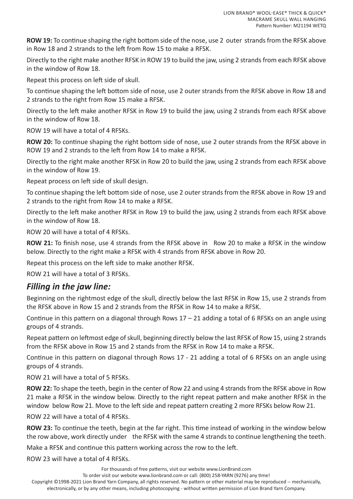**ROW 19:** To continue shaping the right bottom side of the nose, use 2 outer strands from the RFSK above in Row 18 and 2 strands to the left from Row 15 to make a RFSK.

Directly to the right make another RFSK in ROW 19 to build the jaw, using 2 strands from each RFSK above in the window of Row 18.

Repeat this process on left side of skull.

To continue shaping the left bottom side of nose, use 2 outer strands from the RFSK above in Row 18 and 2 strands to the right from Row 15 make a RFSK.

Directly to the left make another RFSK in Row 19 to build the jaw, using 2 strands from each RFSK above in the window of Row 18.

ROW 19 will have a total of 4 RFSKs.

**ROW 20:** To continue shaping the right bottom side of nose, use 2 outer strands from the RFSK above in ROW 19 and 2 strands to the left from Row 14 to make a RFSK.

Directly to the right make another RFSK in Row 20 to build the jaw, using 2 strands from each RFSK above in the window of Row 19.

Repeat process on left side of skull design.

To continue shaping the left bottom side of nose, use 2 outer strands from the RFSK above in Row 19 and 2 strands to the right from Row 14 to make a RFSK.

Directly to the left make another RFSK in Row 19 to build the jaw, using 2 strands from each RFSK above in the window of Row 18.

ROW 20 will have a total of 4 RFSKs.

**ROW 21:** To finish nose, use 4 strands from the RFSK above in Row 20 to make a RFSK in the window below. Directly to the right make a RFSK with 4 strands from RFSK above in Row 20.

Repeat this process on the left side to make another RFSK.

ROW 21 will have a total of 3 RFSKs.

#### *Filling in the jaw line:*

Beginning on the rightmost edge of the skull, directly below the last RFSK in Row 15, use 2 strands from the RFSK above in Row 15 and 2 strands from the RFSK in Row 14 to make a RFSK.

Continue in this pattern on a diagonal through Rows  $17 - 21$  adding a total of 6 RFSKs on an angle using groups of 4 strands.

Repeat pattern on leftmost edge of skull, beginning directly below the last RFSK of Row 15, using 2 strands from the RFSK above in Row 15 and 2 stands from the RFSK in Row 14 to make a RFSK.

Continue in this pattern on diagonal through Rows 17 - 21 adding a total of 6 RFSKs on an angle using groups of 4 strands.

ROW 21 will have a total of 5 RFSKs.

**ROW 22:** To shape the teeth, begin in the center of Row 22 and using 4 strands from the RFSK above in Row 21 make a RFSK in the window below. Directly to the right repeat pattern and make another RFSK in the window below Row 21. Move to the left side and repeat pattern creating 2 more RFSKs below Row 21.

ROW 22 will have a total of 4 RFSKs.

**ROW 23:** To continue the teeth, begin at the far right. This time instead of working in the window below the row above, work directly under the RFSK with the same 4 strands to continue lengthening the teeth.

Make a RFSK and continue this pattern working across the row to the left.

ROW 23 will have a total of 4 RFSKs.

For thousands of free patterns, visit our website www.LionBrand.com

To order visit our website www.lionbrand.com or call: (800) 258-YARN (9276) any time!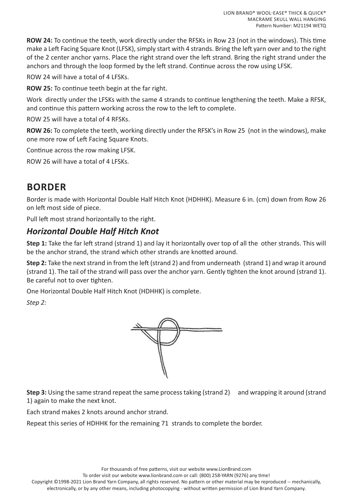**ROW 24:** To continue the teeth, work directly under the RFSKs in Row 23 (not in the windows). This time make a Left Facing Square Knot (LFSK), simply start with 4 strands. Bring the left yarn over and to the right of the 2 center anchor yarns. Place the right strand over the left strand. Bring the right strand under the anchors and through the loop formed by the left strand. Continue across the row using LFSK.

ROW 24 will have a total of 4 LFSKs.

**ROW 25:** To continue teeth begin at the far right.

Work directly under the LFSKs with the same 4 strands to continue lengthening the teeth. Make a RFSK, and continue this pattern working across the row to the left to complete.

ROW 25 will have a total of 4 RFSKs.

**ROW 26:** To complete the teeth, working directly under the RFSK's in Row 25 (not in the windows), make one more row of Left Facing Square Knots.

Continue across the row making LFSK.

ROW 26 will have a total of 4 LFSKs.

#### **BORDER**

Border is made with Horizontal Double Half Hitch Knot (HDHHK). Measure 6 in. (cm) down from Row 26 on left most side of piece.

Pull left most strand horizontally to the right.

#### *Horizontal Double Half Hitch Knot*

**Step 1:** Take the far left strand (strand 1) and lay it horizontally over top of all the other strands. This will be the anchor strand, the strand which other strands are knotted around.

**Step 2:** Take the next strand in from the left (strand 2) and from underneath (strand 1) and wrap it around (strand 1). The tail of the strand will pass over the anchor yarn. Gently tighten the knot around (strand 1). Be careful not to over tighten.

One Horizontal Double Half Hitch Knot (HDHHK) is complete.

*Step 2:*



**Step 3:** Using the same strand repeat the same process taking (strand 2) and wrapping it around (strand 1) again to make the next knot.

Each strand makes 2 knots around anchor strand.

Repeat this series of HDHHK for the remaining 71 strands to complete the border.

To order visit our website www.lionbrand.com or call: (800) 258-YARN (9276) any time!